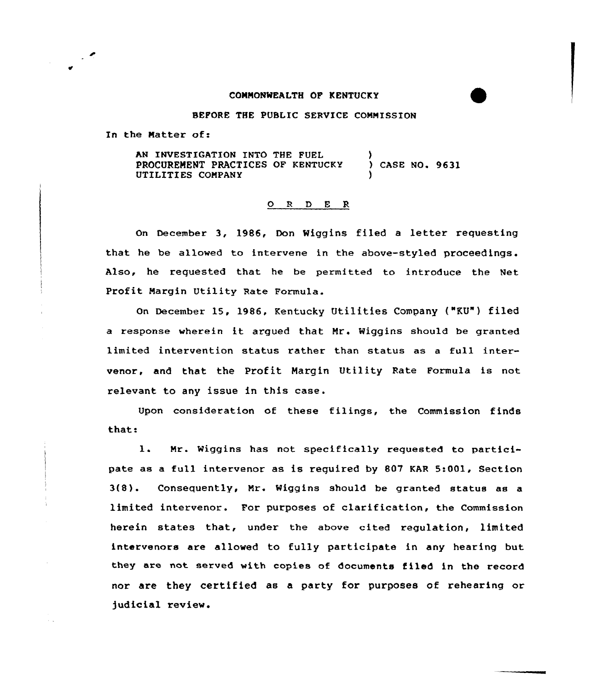## COMMONWEALTH OF KENTUCKY

BEFORE THE PUBLIC SERVICE COMMISSION

In the Natter of:

AN INVESTIGATION INTO THE FUEL PROCUREMENT PRACTICES OF KENTUCKY UTILITIES COMPANY )<br>) CASE NO. 9631 )

## ORDER

On December 3, 1986, Don Wiggins filed a letter requesting that he be allowed to intervene in the above-styled proceedings. Also, he requested that he be permitted to introduce the Net Profit Margin Utility Rate Formula.

On December 15, 1986, Kentucky Utilities Company {"KU") filed <sup>a</sup> response wherein it argued that Mr. Wiggins should be granted limited intervention status rather than status as a full intervenor, and that the Profit Hargin Utility Rate Formula is not relevant to any issue in this case.

Upon consideration of these filings, the Commission finds that:

1. Mr. Wiggins has not specifically reguested to participate as a full intervenor as is reguired by 807 KAR 5:001, Section 3{8). Consequently, Mr. Wiggins should be granted status as <sup>a</sup> limited intervenor. For purposes of clarification, the Commission herein states that, under the above cited regulation, limited intarvenors are allowed to fully participate in any hearing but they are not served with copies of documents filed in the record nor are they certified as a party for purposes of rehearing or judicial review.